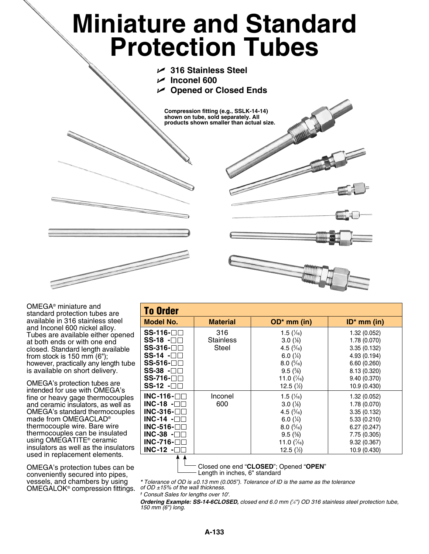## **Miniature and Standard Protection Tubes**

- U **316 Stainless Steel**
- $\sqrt{ }$  Inconel 600
- U **Opened or Closed Ends**

**Compression fitting (e.g., SSLK-14-14) shown on tube, sold separately. All products shown smaller than actual size.**



OMEGA® miniature and standard protection tubes are available in 316 stainless steel and Inconel 600 nickel alloy. Tubes are available either opened at both ends or with one end closed. Standard length available from stock is 150 mm (6"); however, practically any length tube is available on short delivery.

OMEGA's protection tubes are intended for use with OMEGA's fine or heavy gage thermocouples and ceramic insulators, as well as OMEGA's standard thermocouples made from OMEGACLAD® thermocouple wire. Bare wire thermocouples can be insulated using OMEGATITE® ceramic insulators as well as the insulators used in replacement elements.

OMEGA's protection tubes can be conveniently secured into pipes, vessels, and chambers by using OMEGALOK® compression fittings.

| <b>To Order</b>              |                  |                       |                |  |  |
|------------------------------|------------------|-----------------------|----------------|--|--|
| Model No.                    | <b>Material</b>  | $OD*$ mm (in)         | $ID^*$ mm (in) |  |  |
| $SS-116-$                    | 316              | 1.5 $(\frac{1}{16})$  | 1.32(0.052)    |  |  |
| $SS-18$ - $\square\square$   | <b>Stainless</b> | $3.0\,(%)$            | 1.78 (0.070)   |  |  |
| SS-316-□□                    | Steel            | 4.5 $(\frac{3}{16})$  | 3.35(0.132)    |  |  |
| SS-14 -⊟⊟                    |                  | 6.0 $(\frac{1}{4})$   | 4.93 (0.194)   |  |  |
| SS-516- <b>⊟</b> ⊟           |                  | $8.0\ (^{5}/_{16})$   | 6.60(0.260)    |  |  |
| SS-38 -⊟⊟                    |                  | $9.5\,(%)$            | 8.13 (0.320)   |  |  |
| SS-716- <b>⊟</b> ⊟           |                  | 11.0 $(\frac{7}{16})$ | 9.40(0.370)    |  |  |
| $SS-12$ - $\square$          |                  | 12.5 $(\frac{1}{2})$  | 10.9(0.430)    |  |  |
| INC-116- $\Box$ $\Box$       | Inconel          | 1.5 $(\frac{1}{16})$  | 1.32(0.052)    |  |  |
| INC-18 - $\square$ $\square$ | 600              | $3.0\,(%)$            | 1.78 (0.070)   |  |  |
| INC-316- $\Box$              |                  | 4.5 $(\frac{3}{16})$  | 3.35(0.132)    |  |  |
| INC-14 - $\square$ $\square$ |                  | 6.0 $(\frac{1}{4})$   | 5.33(0.210)    |  |  |
| INC-516- $\Box$              |                  | $8.0\,(^{5}/_{16})$   | 6.27(0.247)    |  |  |
| INC-38 -⊟⊟                   |                  | $9.5\,(%)$            | 7.75 (0.305)   |  |  |
| INC-716- $\Box$              |                  | 11.0 $(\frac{7}{6})$  | 9.32(0.367)    |  |  |
| INC-12 - $\square$           |                  | 12.5 $(\frac{1}{2})$  | 10.9 (0.430)   |  |  |
|                              |                  |                       |                |  |  |

Closed one end "**CLOSED**"; Opened "**OPEN**" - Length in inches, 6" standard

*\* Tolerance of OD is ±0.13 mm (0.005"). Tolerance of ID is the same as the tolerance of OD ±15% of the wall thickness.* 

*† Consult Sales for lengths over 10'.*

*Ordering Example: SS-14-6CLOSED, closed end 6.0 mm (1 ⁄4") OD 316 stainless steel protection tube, 150 mm (6") long.*